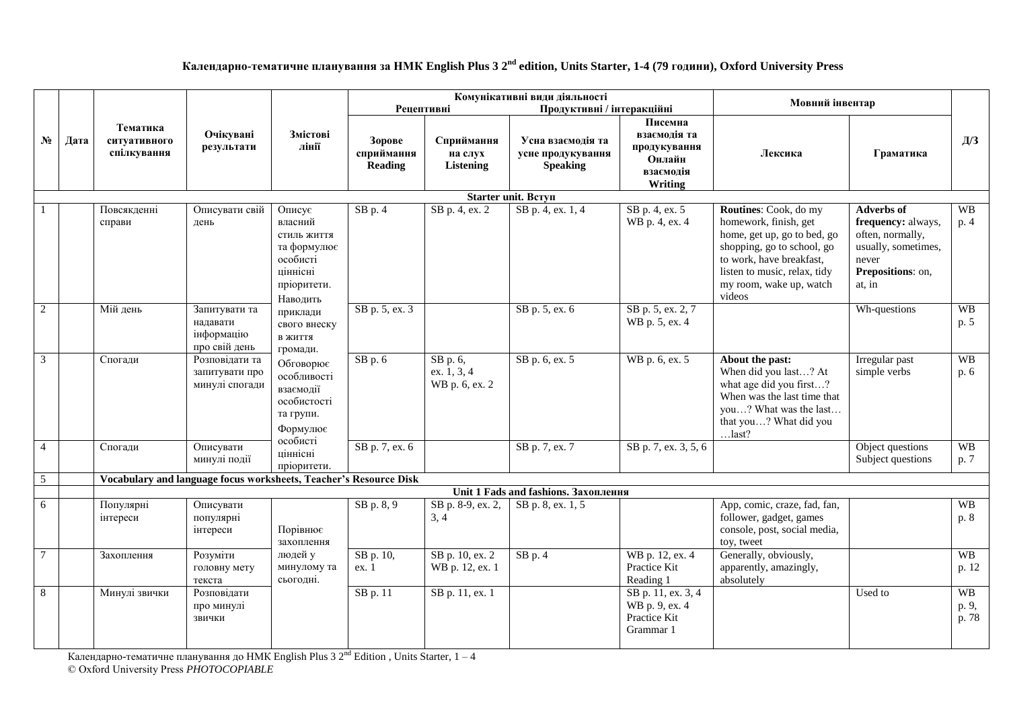## **Календарно-тематичне планування за НМК English Plus 3 2 nd edition, Units Starter, 1-4 (79 години), Oxford University Press**

|                 |      |                                                                   |                                                          |                                                                                                    |                                           | Рецептивні                                                       | Комунікативні види діяльності<br>Продуктивні / інтеракційні               |                                                                   | Мовний інвентар                                                                                                                                                                                              |                                                                                                                            |                             |
|-----------------|------|-------------------------------------------------------------------|----------------------------------------------------------|----------------------------------------------------------------------------------------------------|-------------------------------------------|------------------------------------------------------------------|---------------------------------------------------------------------------|-------------------------------------------------------------------|--------------------------------------------------------------------------------------------------------------------------------------------------------------------------------------------------------------|----------------------------------------------------------------------------------------------------------------------------|-----------------------------|
| $N_2$           | Дата | Тематика<br>ситуативного<br>спілкування                           | Очікувані<br>Змістові<br>лінії<br>результати             | Зорове<br>сприймання<br><b>Reading</b>                                                             | Сприймання<br>на слух<br><b>Listening</b> | Усна взаємодія та<br>усне продукування<br><b>Speaking</b>        | Писемна<br>взаємодія та<br>продукування<br>Онлайн<br>взаємодія<br>Writing | Лексика                                                           | Граматика                                                                                                                                                                                                    | Д/З                                                                                                                        |                             |
|                 |      |                                                                   |                                                          |                                                                                                    |                                           |                                                                  | Starter unit. Bcryn                                                       |                                                                   |                                                                                                                                                                                                              |                                                                                                                            |                             |
|                 |      | Повсякденні<br>справи                                             | Описувати свій<br>день                                   | Описує<br>власний<br>стиль життя<br>та формулює<br>особисті<br>ціннісні<br>пріоритети.<br>Наводить | $SB$ p. 4                                 | SB p. 4, ex. 2                                                   | $\overline{SB p. 4}$ , ex. 1, 4                                           | SB p. 4, ex. 5<br>WB p. 4, ex. 4                                  | Routines: Cook, do my<br>homework, finish, get<br>home, get up, go to bed, go<br>shopping, go to school, go<br>to work, have breakfast,<br>listen to music, relax, tidy<br>my room, wake up, watch<br>videos | <b>Adverbs of</b><br>frequency: always,<br>often, normally,<br>usually, sometimes,<br>never<br>Prepositions: on,<br>at, in | <b>WB</b><br>p. 4           |
| $\overline{2}$  |      | Мій день                                                          | Запитувати та<br>надавати<br>інформацію<br>про свій день | приклади<br>свого внеску<br>в життя<br>громади.                                                    | SB p. 5, ex. 3                            |                                                                  | SB p. 5, ex. 6                                                            | SB p. 5, ex. 2, 7<br>WB p. 5, ex. 4                               |                                                                                                                                                                                                              | Wh-questions                                                                                                               | <b>WB</b><br>p. 5           |
| $\mathfrak{Z}$  |      | Спогади                                                           | Розповідати та<br>запитувати про<br>минулі спогади       | Обговорює<br>особливості<br>взаємодії<br>особистості<br>та групи.<br>Формулює                      | $SB$ p. $6$                               | $\overline{\text{SB p. 6}}$ ,<br>ex. $1, 3, 4$<br>WB p. 6, ex. 2 | SB p. 6, ex. 5                                                            | WB p. 6, ex. 5                                                    | About the past:<br>When did you last? At<br>what age did you first?<br>When was the last time that<br>you? What was the last<br>that you? What did you<br>$$ last?                                           | Irregular past<br>simple verbs                                                                                             | <b>WB</b><br>p. 6           |
| $\overline{4}$  |      | Спогади                                                           | Описувати<br>минулі події                                | особисті<br>ціннісні<br>пріоритети.                                                                | SB p. 7, ex. 6                            |                                                                  | SB p. 7, ex. 7                                                            | SB p. 7, ex. 3, 5, 6                                              |                                                                                                                                                                                                              | Object questions<br>Subject questions                                                                                      | <b>WB</b><br>p. 7           |
| $\overline{5}$  |      | Vocabulary and language focus worksheets, Teacher's Resource Disk |                                                          |                                                                                                    |                                           |                                                                  |                                                                           |                                                                   |                                                                                                                                                                                                              |                                                                                                                            |                             |
|                 |      |                                                                   |                                                          |                                                                                                    |                                           |                                                                  | Unit 1 Fads and fashions. Захоплення                                      |                                                                   |                                                                                                                                                                                                              |                                                                                                                            |                             |
| 6               |      | Популярні<br>інтереси                                             | Описувати<br>популярні<br>інтереси                       | Порівнює<br>захоплення                                                                             | SB p. 8, 9                                | SB p. 8-9, ex. 2,<br>3, 4                                        | SB p. 8, ex. 1, 5                                                         |                                                                   | App, comic, craze, fad, fan,<br>follower, gadget, games<br>console, post, social media,<br>toy, tweet                                                                                                        |                                                                                                                            | WB<br>p. 8                  |
| $7\phantom{.0}$ |      | Захоплення                                                        | Розуміти<br>головну мету<br>текста                       | людей у<br>минулому та<br>сьогодні.                                                                | SB p. 10,<br>ex. 1                        | SB p. 10, ex. 2<br>WB p. 12, ex. 1                               | $SB$ p. 4                                                                 | WB p. 12, ex. 4<br>Practice Kit<br>Reading 1                      | Generally, obviously,<br>apparently, amazingly,<br>absolutely                                                                                                                                                |                                                                                                                            | <b>WB</b><br>p. 12          |
| 8               |      | Минулі звички                                                     | Розповідати<br>про минулі<br>звички                      |                                                                                                    | SB p. 11                                  | SB p. 11, ex. 1                                                  |                                                                           | SB p. 11, ex. 3, 4<br>WB p. 9, ex. 4<br>Practice Kit<br>Grammar 1 |                                                                                                                                                                                                              | Used to                                                                                                                    | <b>WB</b><br>p. 9,<br>p. 78 |

Календарно-тематичне планування до HMK English Plus 3 2<sup>nd</sup> Edition , Units Starter, 1 – 4 © Oxford University Press *PHOTOCOPIABLE*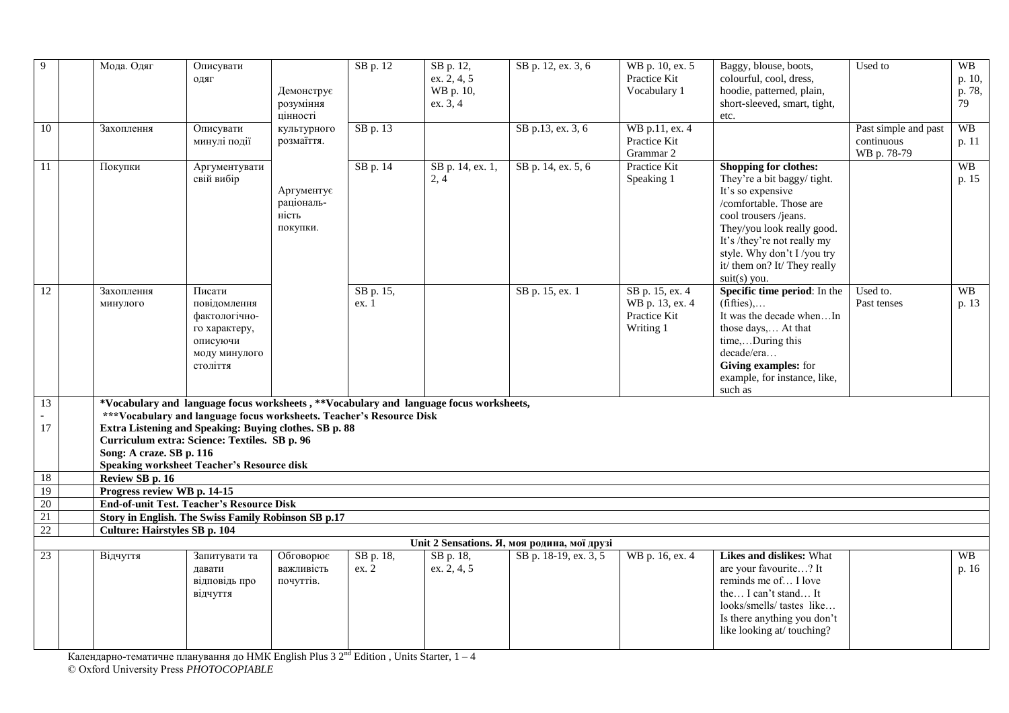| 9               | Мода. Одяг                                                                                                                     | Описувати<br>ОДЯГ                                                                                 | Демонструє<br>розуміння<br>цінності           | SB p. 12           | SB p. 12,<br>ex. 2, 4, 5<br>WB p. 10,<br>ex. 3, 4 | SB p. 12, ex. 3, 6                          | WB p. 10, ex. 5<br>Practice Kit<br>Vocabulary 1                 | Baggy, blouse, boots,<br>colourful, cool, dress,<br>hoodie, patterned, plain,<br>short-sleeved, smart, tight,<br>etc.                                                                                                                                                      | Used to                                           | <b>WB</b><br>p. 10,<br>p. 78,<br>79 |
|-----------------|--------------------------------------------------------------------------------------------------------------------------------|---------------------------------------------------------------------------------------------------|-----------------------------------------------|--------------------|---------------------------------------------------|---------------------------------------------|-----------------------------------------------------------------|----------------------------------------------------------------------------------------------------------------------------------------------------------------------------------------------------------------------------------------------------------------------------|---------------------------------------------------|-------------------------------------|
| 10              | Захоплення                                                                                                                     | Описувати<br>минулі події                                                                         | культурного<br>розмаїття.                     | SB p. 13           |                                                   | SB p.13, ex. 3, 6                           | WB p.11, ex. 4<br>Practice Kit<br>Grammar 2                     |                                                                                                                                                                                                                                                                            | Past simple and past<br>continuous<br>WB p. 78-79 | WB<br>p. 11                         |
| 11              | Покупки                                                                                                                        | Аргументувати<br>свій вибір                                                                       | Аргументує<br>раціональ-<br>ність<br>покупки. | SB p. 14           | SB p. 14, ex. 1,<br>2, 4                          | SB p. 14, ex. 5, 6                          | Practice Kit<br>Speaking 1                                      | Shopping for clothes:<br>They're a bit baggy/tight.<br>It's so expensive<br>/comfortable. Those are<br>cool trousers /jeans.<br>They/you look really good.<br>It's /they're not really my<br>style. Why don't I /you try<br>it/ them on? It/ They really<br>$suit(s)$ you. |                                                   | <b>WB</b><br>p. 15                  |
| $\overline{12}$ | Захоплення<br>минулого                                                                                                         | Писати<br>повідомлення<br>фактологічно-<br>го характеру,<br>описуючи<br>моду минулого<br>століття |                                               | SB p. 15,<br>ex. 1 |                                                   | SB p. 15, ex. 1                             | SB p. 15, ex. 4<br>WB p. 13, ex. 4<br>Practice Kit<br>Writing 1 | Specific time period: In the<br>$(fifties)$<br>It was the decade whenIn<br>those days, At that<br>time,During this<br>decade/era<br>Giving examples: for<br>example, for instance, like,<br>such as                                                                        | Used to.<br>Past tenses                           | <b>WB</b><br>p. 13                  |
| $\overline{13}$ | *Vocabulary and language focus worksheets, **Vocabulary and language focus worksheets,                                         |                                                                                                   |                                               |                    |                                                   |                                             |                                                                 |                                                                                                                                                                                                                                                                            |                                                   |                                     |
| 17              | ***Vocabulary and language focus worksheets. Teacher's Resource Disk<br>Extra Listening and Speaking: Buying clothes. SB p. 88 |                                                                                                   |                                               |                    |                                                   |                                             |                                                                 |                                                                                                                                                                                                                                                                            |                                                   |                                     |
|                 | Curriculum extra: Science: Textiles. SB p. 96                                                                                  |                                                                                                   |                                               |                    |                                                   |                                             |                                                                 |                                                                                                                                                                                                                                                                            |                                                   |                                     |
|                 | Song: A craze. SB p. 116                                                                                                       |                                                                                                   |                                               |                    |                                                   |                                             |                                                                 |                                                                                                                                                                                                                                                                            |                                                   |                                     |
|                 | <b>Speaking worksheet Teacher's Resource disk</b>                                                                              |                                                                                                   |                                               |                    |                                                   |                                             |                                                                 |                                                                                                                                                                                                                                                                            |                                                   |                                     |
| 18              | Review SB p. 16                                                                                                                |                                                                                                   |                                               |                    |                                                   |                                             |                                                                 |                                                                                                                                                                                                                                                                            |                                                   |                                     |
| 19<br>20        | Progress review WB p. 14-15<br><b>End-of-unit Test. Teacher's Resource Disk</b>                                                |                                                                                                   |                                               |                    |                                                   |                                             |                                                                 |                                                                                                                                                                                                                                                                            |                                                   |                                     |
| 21              |                                                                                                                                |                                                                                                   |                                               |                    |                                                   |                                             |                                                                 |                                                                                                                                                                                                                                                                            |                                                   |                                     |
| 22              | Story in English. The Swiss Family Robinson SB p.17<br><b>Culture: Hairstyles SB p. 104</b>                                    |                                                                                                   |                                               |                    |                                                   |                                             |                                                                 |                                                                                                                                                                                                                                                                            |                                                   |                                     |
|                 |                                                                                                                                |                                                                                                   |                                               |                    |                                                   | Unit 2 Sensations. Я, моя родина, мої друзі |                                                                 |                                                                                                                                                                                                                                                                            |                                                   |                                     |
| 23              | Відчуття                                                                                                                       | Запитувати та<br>давати<br>відповідь про<br>відчуття                                              | Обговорює<br>важливість<br>почуттів.          | SB p. 18,<br>ex. 2 | SB p. 18,<br>ex. 2, 4, 5                          | SB p. 18-19, ex. 3, 5                       | WB p. 16, ex. 4                                                 | <b>Likes and dislikes: What</b><br>are your favourite? It<br>reminds me of I love<br>the I can't stand It<br>looks/smells/tastes like<br>Is there anything you don't<br>like looking at/ touching?                                                                         |                                                   | W <sub>B</sub><br>p. 16             |

Календарно-тематичне планування до HMK English Plus 3 2<sup>nd</sup> Edition , Units Starter, 1 – 4 © Oxford University Press *PHOTOCOPIABLE*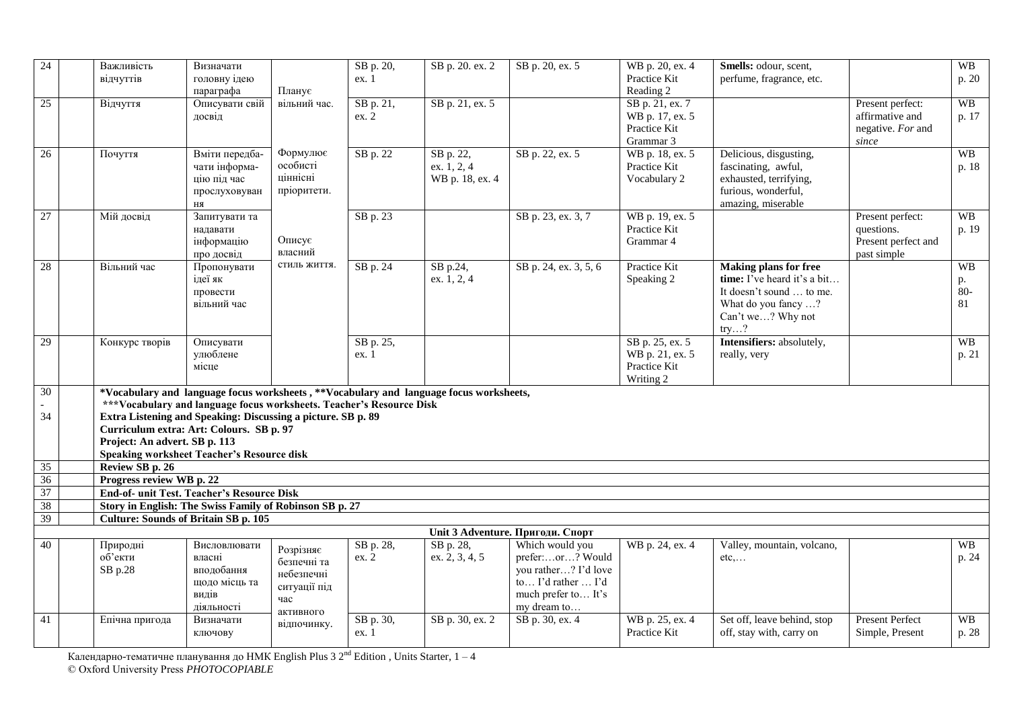| 24              | Важливість<br>відчуттів                                                                                                                                                                                                                                                                  | Визначати<br>головну ідею                                                    |                                                                            | SB p. 20,<br>ex. 1 | SB p. 20. ex. 2                               | SB p. 20, ex. 5                                                                                                                                             | WB p. 20, ex. 4<br>Practice Kit                                 | Smells: odour, scent,<br>perfume, fragrance, etc.                                                                                           |                                                                      | WB<br>p. 20                    |
|-----------------|------------------------------------------------------------------------------------------------------------------------------------------------------------------------------------------------------------------------------------------------------------------------------------------|------------------------------------------------------------------------------|----------------------------------------------------------------------------|--------------------|-----------------------------------------------|-------------------------------------------------------------------------------------------------------------------------------------------------------------|-----------------------------------------------------------------|---------------------------------------------------------------------------------------------------------------------------------------------|----------------------------------------------------------------------|--------------------------------|
|                 |                                                                                                                                                                                                                                                                                          | параграфа                                                                    | Планує                                                                     |                    |                                               |                                                                                                                                                             | Reading 2                                                       |                                                                                                                                             |                                                                      |                                |
| 25              | Відчуття                                                                                                                                                                                                                                                                                 | Описувати свій<br>досвід                                                     | вільний час.                                                               | SB p. 21,<br>ex. 2 | SB p. 21, ex. 5                               |                                                                                                                                                             | SB p. 21, ex. 7<br>WB p. 17, ex. 5<br>Practice Kit<br>Grammar 3 |                                                                                                                                             | Present perfect:<br>affirmative and<br>negative. For and<br>$since$  | <b>WB</b><br>p. 17             |
| 26              | Почуття                                                                                                                                                                                                                                                                                  | Вміти передба-<br>чати інформа-<br>цію під час<br>прослуховуван<br>ня        | Формулює<br>особисті<br>ціннісні<br>пріоритети.                            | SB p. 22           | SB p. 22,<br>ex. $1, 2, 4$<br>WB p. 18, ex. 4 | SB p. 22, ex. 5                                                                                                                                             | WB p. 18, ex. 5<br>Practice Kit<br>Vocabulary 2                 | Delicious, disgusting,<br>fascinating, awful,<br>exhausted, terrifying,<br>furious, wonderful,<br>amazing, miserable                        |                                                                      | <b>WB</b><br>p. 18             |
| 27              | Мій досвід                                                                                                                                                                                                                                                                               | Запитувати та<br>надавати<br>інформацію<br>про досвід                        | Описує<br>власний                                                          | SB p. 23           |                                               | SB p. 23, ex. 3, 7                                                                                                                                          | WB p. 19, ex. 5<br>Practice Kit<br>Grammar 4                    |                                                                                                                                             | Present perfect:<br>questions.<br>Present perfect and<br>past simple | WB<br>p. 19                    |
| 28              | Вільний час                                                                                                                                                                                                                                                                              | Пропонувати<br>ідеї як<br>провести<br>вільний час                            | стиль життя.                                                               | SB p. 24           | SB p.24,<br>ex. 1, 2, 4                       | SB p. 24, ex. 3, 5, 6                                                                                                                                       | Practice Kit<br>Speaking 2                                      | <b>Making plans for free</b><br>time: I've heard it's a bit<br>It doesn't sound  to me.<br>What do you fancy ?<br>Can't we? Why not<br>try? |                                                                      | <b>WB</b><br>p.<br>$80-$<br>81 |
| 29              | Конкурс творів                                                                                                                                                                                                                                                                           | Описувати<br>улюблене<br>місце                                               |                                                                            | SB p. 25,<br>ex. 1 |                                               |                                                                                                                                                             | SB p. 25, ex. 5<br>WB p. 21, ex. 5<br>Practice Kit<br>Writing 2 | Intensifiers: absolutely,<br>really, very                                                                                                   |                                                                      | <b>WB</b><br>p. 21             |
| 30<br>34        | *Vocabulary and language focus worksheets, **Vocabulary and language focus worksheets,<br>Extra Listening and Speaking: Discussing a picture. SB p. 89<br>Curriculum extra: Art: Colours. SB p. 97<br>Project: An advert. SB p. 113<br><b>Speaking worksheet Teacher's Resource disk</b> | ***Vocabulary and language focus worksheets. Teacher's Resource Disk         |                                                                            |                    |                                               |                                                                                                                                                             |                                                                 |                                                                                                                                             |                                                                      |                                |
| 35              | Review SB p. 26                                                                                                                                                                                                                                                                          |                                                                              |                                                                            |                    |                                               |                                                                                                                                                             |                                                                 |                                                                                                                                             |                                                                      |                                |
| $\frac{36}{37}$ | Progress review WB p. 22                                                                                                                                                                                                                                                                 |                                                                              |                                                                            |                    |                                               |                                                                                                                                                             |                                                                 |                                                                                                                                             |                                                                      |                                |
|                 | End-of- unit Test. Teacher's Resource Disk                                                                                                                                                                                                                                               |                                                                              |                                                                            |                    |                                               |                                                                                                                                                             |                                                                 |                                                                                                                                             |                                                                      |                                |
| 38<br>39        | Story in English: The Swiss Family of Robinson SB p. 27                                                                                                                                                                                                                                  |                                                                              |                                                                            |                    |                                               |                                                                                                                                                             |                                                                 |                                                                                                                                             |                                                                      |                                |
|                 | <b>Culture: Sounds of Britain SB p. 105</b>                                                                                                                                                                                                                                              |                                                                              |                                                                            |                    |                                               |                                                                                                                                                             |                                                                 |                                                                                                                                             |                                                                      |                                |
| 40              | Природні<br>об'екти<br>SB p.28                                                                                                                                                                                                                                                           | Висловлювати<br>власні<br>вподобання<br>щодо місць та<br>видів<br>діяльності | Розрізняє<br>безпечні та<br>небезпечні<br>ситуації під<br>час<br>активного | SB p. 28,<br>ex. 2 | SB p. 28,<br>ex. 2, 3, 4, 5                   | Unit 3 Adventure. Пригоди. Спорт<br>Which would you<br>prefer:or? Would<br>you rather? I'd love<br>to I'd rather  I'd<br>much prefer to It's<br>my dream to | WB p. 24, ex. 4                                                 | Valley, mountain, volcano,<br>$etc, \ldots$                                                                                                 |                                                                      | <b>WB</b><br>p. 24             |
| 41              | Епічна пригода                                                                                                                                                                                                                                                                           | Визначати<br>ключову                                                         | відпочинку.                                                                | SB p. 30,<br>ex.1  | SB p. 30, ex. 2                               | SB p. 30, ex. 4                                                                                                                                             | WB p. 25, ex. 4<br>Practice Kit                                 | Set off, leave behind, stop<br>off, stay with, carry on                                                                                     | <b>Present Perfect</b><br>Simple, Present                            | <b>WB</b><br>p. 28             |

Календарно-тематичне планування до HMK English Plus 3 2<sup>nd</sup> Edition , Units Starter, 1 – 4 © Oxford University Press *PHOTOCOPIABLE*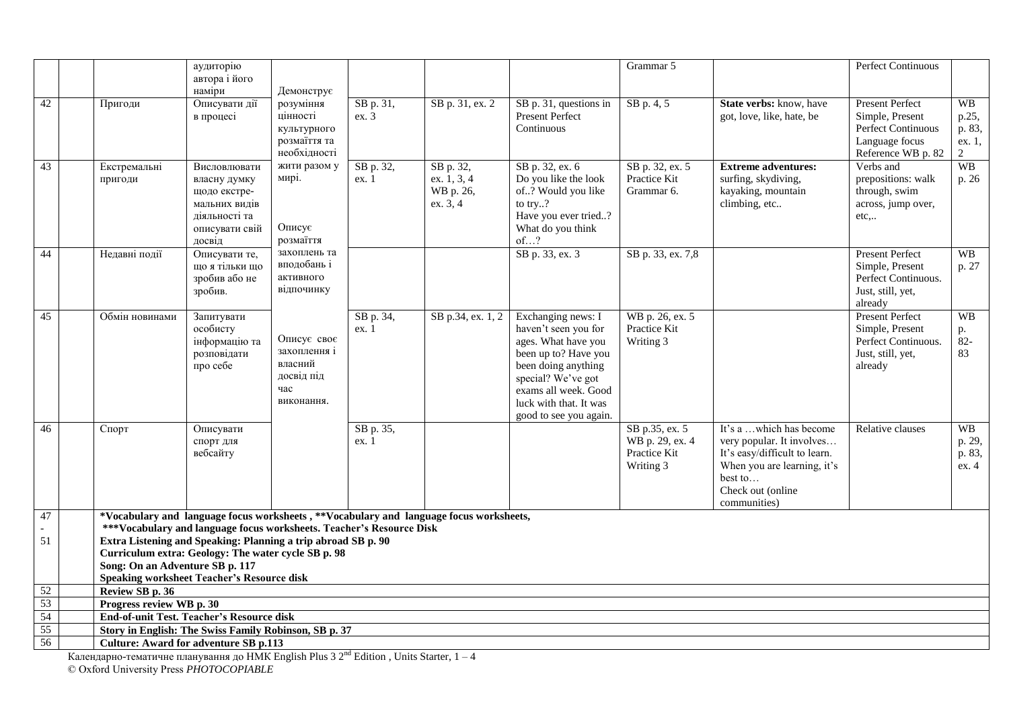|                 |                                                                                           | аудиторію      |              |           |                                                                                        |                        | Grammar 5         |                                | Perfect Continuous     |                |
|-----------------|-------------------------------------------------------------------------------------------|----------------|--------------|-----------|----------------------------------------------------------------------------------------|------------------------|-------------------|--------------------------------|------------------------|----------------|
|                 |                                                                                           | автора і його  |              |           |                                                                                        |                        |                   |                                |                        |                |
|                 |                                                                                           | наміри         | Демонструє   |           |                                                                                        |                        |                   |                                |                        |                |
| 42              | Пригоди                                                                                   | Описувати дії  | розуміння    | SB p. 31, | SB p. 31, ex. 2                                                                        | SB p. 31, questions in | SB p. 4, 5        | <b>State verbs:</b> know, have | <b>Present Perfect</b> | <b>WB</b>      |
|                 |                                                                                           | в процесі      | цінності     | ex.3      |                                                                                        | Present Perfect        |                   | got, love, like, hate, be      | Simple, Present        | p.25,          |
|                 |                                                                                           |                | культурного  |           |                                                                                        | Continuous             |                   |                                | Perfect Continuous     | p. 83,         |
|                 |                                                                                           |                | розмаїття та |           |                                                                                        |                        |                   |                                | Language focus         | ex. 1,         |
|                 |                                                                                           |                | необхідності |           |                                                                                        |                        |                   |                                | Reference WB p. 82     | $\overline{2}$ |
| 43              | Екстремальні                                                                              | Висловлювати   | жити разом у | SB p. 32, | SB p. 32,                                                                              | SB p. 32, ex. 6        | SB p. 32, ex. 5   | <b>Extreme adventures:</b>     | Verbs and              | <b>WB</b>      |
|                 | пригоди                                                                                   | власну думку   | мирі.        | ex. 1     | ex. 1, 3, 4                                                                            | Do you like the look   | Practice Kit      | surfing, skydiving,            | prepositions: walk     | p. 26          |
|                 |                                                                                           | щодо екстре-   |              |           | WB p. 26,                                                                              | of? Would you like     | Grammar 6.        | kayaking, mountain             | through, swim          |                |
|                 |                                                                                           | мальних видів  |              |           | ex. 3, 4                                                                               | to try?                |                   | climbing, etc                  | across, jump over,     |                |
|                 |                                                                                           | діяльності та  |              |           |                                                                                        | Have you ever tried?   |                   |                                | $etc,$                 |                |
|                 |                                                                                           | описувати свій | Описує       |           |                                                                                        | What do you think      |                   |                                |                        |                |
|                 |                                                                                           | досвід         | розмаїття    |           |                                                                                        | of?                    |                   |                                |                        |                |
| 44              | Недавні події                                                                             | Описувати те,  | захоплень та |           |                                                                                        | SB p. 33, ex. 3        | SB p. 33, ex. 7,8 |                                | <b>Present Perfect</b> | WB             |
|                 |                                                                                           | шо я тільки шо | вподобань і  |           |                                                                                        |                        |                   |                                | Simple, Present        | p. 27          |
|                 |                                                                                           | зробив або не  | активного    |           |                                                                                        |                        |                   |                                | Perfect Continuous.    |                |
|                 |                                                                                           | зробив.        | відпочинку   |           |                                                                                        |                        |                   |                                | Just, still, yet,      |                |
|                 |                                                                                           |                |              |           |                                                                                        |                        |                   |                                | already                |                |
| 45              | Обмін новинами                                                                            | Запитувати     |              | SB p. 34, | SB p.34, ex. 1, 2                                                                      | Exchanging news: I     | WB p. 26, ex. 5   |                                | <b>Present Perfect</b> | <b>WB</b>      |
|                 |                                                                                           | особисту       |              | ex. 1     |                                                                                        | haven't seen you for   | Practice Kit      |                                | Simple, Present        | p.             |
|                 |                                                                                           | інформацію та  | Описує своє  |           |                                                                                        | ages. What have you    | Writing 3         |                                | Perfect Continuous.    | $82 -$         |
|                 |                                                                                           | розповідати    | захоплення і |           |                                                                                        | been up to? Have you   |                   |                                | Just, still, yet,      | 83             |
|                 |                                                                                           | про себе       | власний      |           |                                                                                        | been doing anything    |                   |                                | already                |                |
|                 |                                                                                           |                | досвід під   |           |                                                                                        | special? We've got     |                   |                                |                        |                |
|                 |                                                                                           |                | час          |           |                                                                                        | exams all week. Good   |                   |                                |                        |                |
|                 |                                                                                           |                | виконання.   |           |                                                                                        | luck with that. It was |                   |                                |                        |                |
|                 |                                                                                           |                |              |           |                                                                                        | good to see you again. |                   |                                |                        |                |
| 46              | Спорт                                                                                     | Описувати      |              | SB p. 35, |                                                                                        |                        | SB p.35, ex. 5    | It's a which has become        | Relative clauses       | <b>WB</b>      |
|                 |                                                                                           | спорт для      |              | ex.1      |                                                                                        |                        | WB p. 29, ex. 4   | very popular. It involves      |                        | p. 29,         |
|                 |                                                                                           | вебсайту       |              |           |                                                                                        |                        | Practice Kit      | It's easy/difficult to learn.  |                        | p. 83,         |
|                 |                                                                                           |                |              |           |                                                                                        |                        | Writing 3         | When you are learning, it's    |                        | ex. 4          |
|                 |                                                                                           |                |              |           |                                                                                        |                        |                   | best to                        |                        |                |
|                 |                                                                                           |                |              |           |                                                                                        |                        |                   | Check out (online)             |                        |                |
|                 |                                                                                           |                |              |           |                                                                                        |                        |                   | communities)                   |                        |                |
| 47              |                                                                                           |                |              |           | *Vocabulary and language focus worksheets, **Vocabulary and language focus worksheets, |                        |                   |                                |                        |                |
|                 | ***Vocabulary and language focus worksheets. Teacher's Resource Disk                      |                |              |           |                                                                                        |                        |                   |                                |                        |                |
| 51              | Extra Listening and Speaking: Planning a trip abroad SB p. 90                             |                |              |           |                                                                                        |                        |                   |                                |                        |                |
|                 | Curriculum extra: Geology: The water cycle SB p. 98                                       |                |              |           |                                                                                        |                        |                   |                                |                        |                |
|                 | Song: On an Adventure SB p. 117                                                           |                |              |           |                                                                                        |                        |                   |                                |                        |                |
|                 | <b>Speaking worksheet Teacher's Resource disk</b>                                         |                |              |           |                                                                                        |                        |                   |                                |                        |                |
| $\overline{52}$ | Review SB p. 36                                                                           |                |              |           |                                                                                        |                        |                   |                                |                        |                |
| 53              | Progress review WB p. 30                                                                  |                |              |           |                                                                                        |                        |                   |                                |                        |                |
| 54              | <b>End-of-unit Test. Teacher's Resource disk</b>                                          |                |              |           |                                                                                        |                        |                   |                                |                        |                |
| $\frac{55}{56}$ | <b>Story in English: The Swiss Family Robinson, SB p. 37</b>                              |                |              |           |                                                                                        |                        |                   |                                |                        |                |
|                 | <b>Culture: Award for adventure SB p.113</b>                                              |                |              |           |                                                                                        |                        |                   |                                |                        |                |
|                 | Календарно-тематичне планування до НМК English Plus 3 $2nd$ Edition, Units Starter, $1-4$ |                |              |           |                                                                                        |                        |                   |                                |                        |                |

© Oxford University Press *PHOTOCOPIABLE*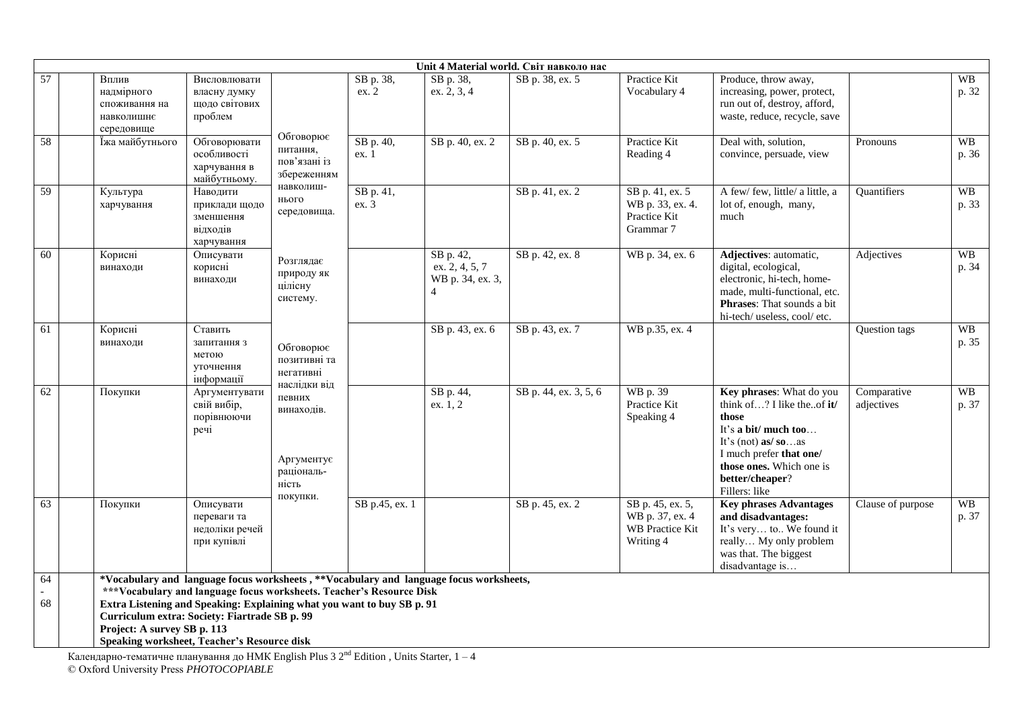|                 |                                                                  |                                                                                                                                                                                                                                                                                                                                          |                                                                                           |                    |                                                                   | Unit 4 Material world. Світ навколо нас |                                                                            |                                                                                                                                                                                                              |                           |                    |
|-----------------|------------------------------------------------------------------|------------------------------------------------------------------------------------------------------------------------------------------------------------------------------------------------------------------------------------------------------------------------------------------------------------------------------------------|-------------------------------------------------------------------------------------------|--------------------|-------------------------------------------------------------------|-----------------------------------------|----------------------------------------------------------------------------|--------------------------------------------------------------------------------------------------------------------------------------------------------------------------------------------------------------|---------------------------|--------------------|
| 57              | Вплив<br>надмірного<br>споживання на<br>навколишнє<br>середовище | Висловлювати<br>власну думку<br>щодо світових<br>проблем                                                                                                                                                                                                                                                                                 |                                                                                           | SB p. 38,<br>ex. 2 | SB p. 38,<br>ex. 2, 3, 4                                          | SB p. 38, ex. 5                         | Practice Kit<br>Vocabulary 4                                               | Produce, throw away,<br>increasing, power, protect,<br>run out of, destroy, afford,<br>waste, reduce, recycle, save                                                                                          |                           | <b>WB</b><br>p. 32 |
| 58              | Їжа майбутнього                                                  | Обговорювати<br>особливості<br>харчування в<br>майбутньому.                                                                                                                                                                                                                                                                              | Обговорює<br>питання,<br>пов'язані із<br>збереженням<br>навколиш-<br>нього<br>середовища. | SB p. 40,<br>ex. 1 | SB p. 40, ex. 2                                                   | SB p. 40, ex. 5                         | Practice Kit<br>Reading 4                                                  | Deal with, solution,<br>convince, persuade, view                                                                                                                                                             | Pronouns                  | <b>WB</b><br>p. 36 |
| 59              | Культура<br>харчування                                           | Наводити<br>приклади щодо<br>зменшення<br>відходів<br>харчування                                                                                                                                                                                                                                                                         |                                                                                           | SB p. 41,<br>ex.3  |                                                                   | SB p. 41, ex. 2                         | SB p. 41, ex. 5<br>WB p. 33, ex. 4.<br>Practice Kit<br>Grammar 7           | A few/ few, little/ a little, a<br>lot of, enough, many,<br>much                                                                                                                                             | Quantifiers               | <b>WB</b><br>p. 33 |
| $\overline{60}$ | Корисні<br>винаходи                                              | Описувати<br>корисні<br>винаходи                                                                                                                                                                                                                                                                                                         | Розглядає<br>природу як<br>цілісну<br>систему.                                            |                    | SB p. 42,<br>ex. 2, 4, 5, 7<br>WB p. 34, ex. 3,<br>$\overline{4}$ | SB p. 42, ex. 8                         | WB p. 34, ex. 6                                                            | Adjectives: automatic,<br>digital, ecological,<br>electronic, hi-tech, home-<br>made, multi-functional, etc.<br>Phrases: That sounds a bit<br>hi-tech/ useless, cool/ etc.                                   | Adjectives                | <b>WB</b><br>p. 34 |
| 61              | Корисні<br>винаходи                                              | Ставить<br>запитання з<br>метою<br>уточнення<br>інформації                                                                                                                                                                                                                                                                               | Обговорює<br>позитивні та<br>негативні                                                    |                    | SB p. 43, ex. 6                                                   | SB p. 43, ex. 7                         | WB p.35, ex. 4                                                             |                                                                                                                                                                                                              | Question tags             | <b>WB</b><br>p. 35 |
| 62              | Покупки                                                          | Аргументувати<br>свій вибір,<br>порівнюючи<br>речі                                                                                                                                                                                                                                                                                       | наслідки від<br>певних<br>винаходів.<br>Аргументує<br>раціональ-<br>ність                 |                    | SB p. 44,<br>ex. 1, 2                                             | SB p. 44, ex. 3, 5, 6                   | WB p. 39<br>Practice Kit<br>Speaking 4                                     | Key phrases: What do you<br>think of? I like theof it/<br>those<br>It's a bit/ much too<br>It's (not) as/ $so$ as<br>I much prefer that one/<br>those ones. Which one is<br>better/cheaper?<br>Fillers: like | Comparative<br>adjectives | <b>WB</b><br>p. 37 |
| 63              | Покупки                                                          | Описувати<br>переваги та<br>недоліки речей<br>при купівлі                                                                                                                                                                                                                                                                                | покупки.                                                                                  | SB p.45, ex. 1     |                                                                   | SB p. 45, ex. 2                         | SB p. 45, ex. 5,<br>WB p. 37, ex. 4<br><b>WB</b> Practice Kit<br>Writing 4 | <b>Key phrases Advantages</b><br>and disadvantages:<br>It's very to We found it<br>really My only problem<br>was that. The biggest<br>disadvantage is                                                        | Clause of purpose         | <b>WB</b><br>p. 37 |
| 64<br>68        | Project: A survey SB p. 113                                      | *Vocabulary and language focus worksheets, **Vocabulary and language focus worksheets,<br>***Vocabulary and language focus worksheets. Teacher's Resource Disk<br>Extra Listening and Speaking: Explaining what you want to buy SB p. 91<br>Curriculum extra: Society: Fiartrade SB p. 99<br>Speaking worksheet, Teacher's Resource disk |                                                                                           |                    |                                                                   |                                         |                                                                            |                                                                                                                                                                                                              |                           |                    |